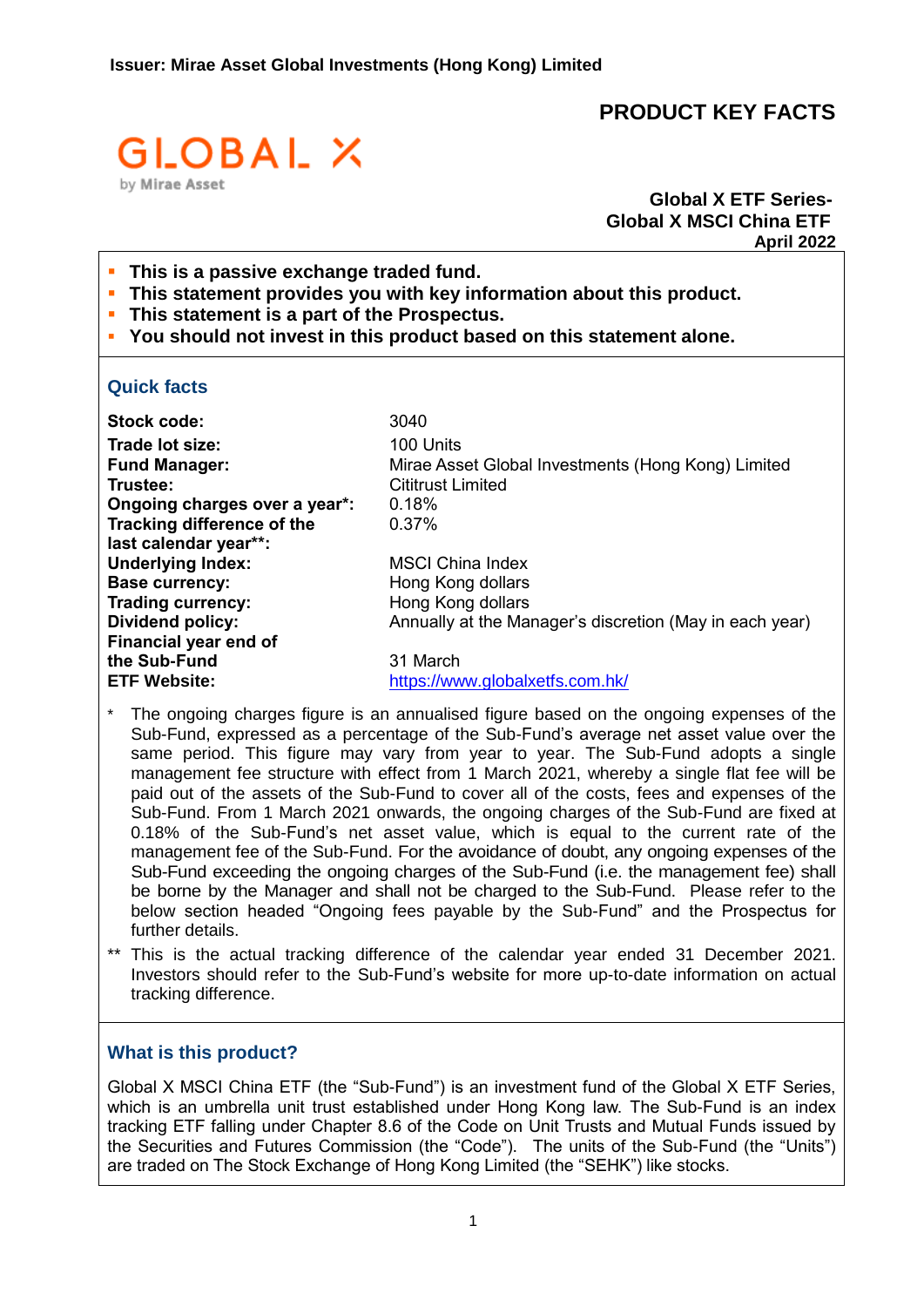# **PRODUCT KEY FACTS**



 **Global X ETF Series-Global X MSCI China ETF April 2022**

- **This is a passive exchange traded fund.**
- **This statement provides you with key information about this product.**
- **This statement is a part of the Prospectus.**
- **You should not invest in this product based on this statement alone.**

#### **Quick facts**

| Stock code:                   | 3040                                                    |
|-------------------------------|---------------------------------------------------------|
| Trade lot size:               | 100 Units                                               |
| <b>Fund Manager:</b>          | Mirae Asset Global Investments (Hong Kong) Limited      |
| Trustee:                      | Cititrust Limited                                       |
| Ongoing charges over a year*: | 0.18%                                                   |
| Tracking difference of the    | 0.37%                                                   |
| last calendar year**:         |                                                         |
| <b>Underlying Index:</b>      | <b>MSCI China Index</b>                                 |
| <b>Base currency:</b>         | Hong Kong dollars                                       |
| <b>Trading currency:</b>      | Hong Kong dollars                                       |
| <b>Dividend policy:</b>       | Annually at the Manager's discretion (May in each year) |
| Financial year end of         |                                                         |
| the Sub-Fund                  | 31 March                                                |
| <b>ETF Website:</b>           | https://www.globalxetfs.com.hk/                         |

- The ongoing charges figure is an annualised figure based on the ongoing expenses of the Sub-Fund, expressed as a percentage of the Sub-Fund's average net asset value over the same period. This figure may vary from year to year. The Sub-Fund adopts a single management fee structure with effect from 1 March 2021, whereby a single flat fee will be paid out of the assets of the Sub-Fund to cover all of the costs, fees and expenses of the Sub-Fund. From 1 March 2021 onwards, the ongoing charges of the Sub-Fund are fixed at 0.18% of the Sub-Fund's net asset value, which is equal to the current rate of the management fee of the Sub-Fund. For the avoidance of doubt, any ongoing expenses of the Sub-Fund exceeding the ongoing charges of the Sub-Fund (i.e. the management fee) shall be borne by the Manager and shall not be charged to the Sub-Fund. Please refer to the below section headed "Ongoing fees payable by the Sub-Fund" and the Prospectus for further details.
- \*\* This is the actual tracking difference of the calendar year ended 31 December 2021. Investors should refer to the Sub-Fund's website for more up-to-date information on actual tracking difference.

#### **What is this product?**

Global X MSCI China ETF (the "Sub-Fund") is an investment fund of the Global X ETF Series, which is an umbrella unit trust established under Hong Kong law. The Sub-Fund is an index tracking ETF falling under Chapter 8.6 of the Code on Unit Trusts and Mutual Funds issued by the Securities and Futures Commission (the "Code"). The units of the Sub-Fund (the "Units") are traded on The Stock Exchange of Hong Kong Limited (the "SEHK") like stocks.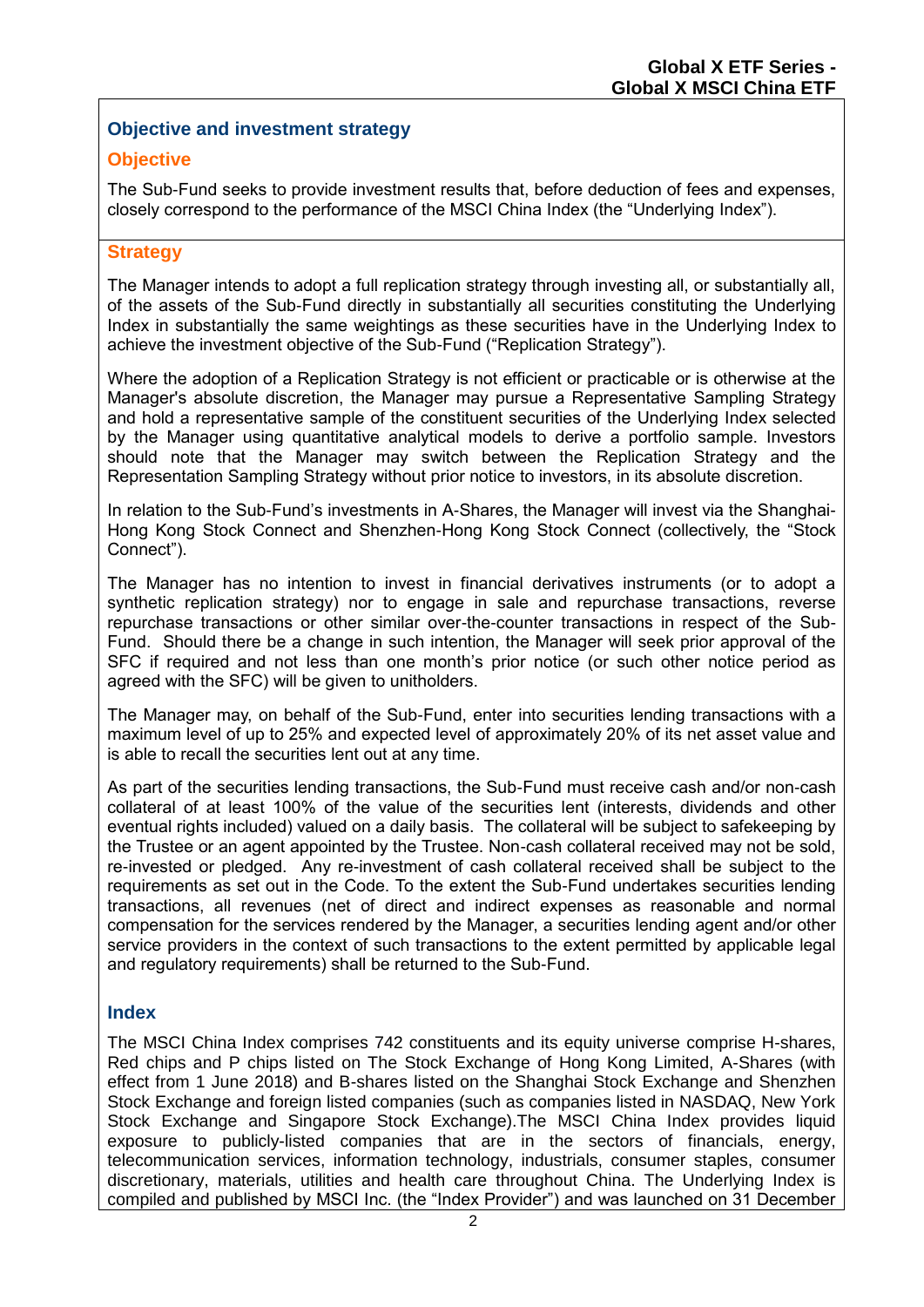# **Objective and investment strategy**

# **Objective**

The Sub-Fund seeks to provide investment results that, before deduction of fees and expenses, closely correspond to the performance of the MSCI China Index (the "Underlying Index").

# **Strategy**

The Manager intends to adopt a full replication strategy through investing all, or substantially all, of the assets of the Sub-Fund directly in substantially all securities constituting the Underlying Index in substantially the same weightings as these securities have in the Underlying Index to achieve the investment objective of the Sub-Fund ("Replication Strategy").

Where the adoption of a Replication Strategy is not efficient or practicable or is otherwise at the Manager's absolute discretion, the Manager may pursue a Representative Sampling Strategy and hold a representative sample of the constituent securities of the Underlying Index selected by the Manager using quantitative analytical models to derive a portfolio sample. Investors should note that the Manager may switch between the Replication Strategy and the Representation Sampling Strategy without prior notice to investors, in its absolute discretion.

In relation to the Sub-Fund's investments in A-Shares, the Manager will invest via the Shanghai-Hong Kong Stock Connect and Shenzhen-Hong Kong Stock Connect (collectively, the "Stock Connect").

The Manager has no intention to invest in financial derivatives instruments (or to adopt a synthetic replication strategy) nor to engage in sale and repurchase transactions, reverse repurchase transactions or other similar over-the-counter transactions in respect of the Sub-Fund. Should there be a change in such intention, the Manager will seek prior approval of the SFC if required and not less than one month's prior notice (or such other notice period as agreed with the SFC) will be given to unitholders.

The Manager may, on behalf of the Sub-Fund, enter into securities lending transactions with a maximum level of up to 25% and expected level of approximately 20% of its net asset value and is able to recall the securities lent out at any time.

As part of the securities lending transactions, the Sub-Fund must receive cash and/or non-cash collateral of at least 100% of the value of the securities lent (interests, dividends and other eventual rights included) valued on a daily basis. The collateral will be subject to safekeeping by the Trustee or an agent appointed by the Trustee. Non-cash collateral received may not be sold, re-invested or pledged. Any re-investment of cash collateral received shall be subject to the requirements as set out in the Code. To the extent the Sub-Fund undertakes securities lending transactions, all revenues (net of direct and indirect expenses as reasonable and normal compensation for the services rendered by the Manager, a securities lending agent and/or other service providers in the context of such transactions to the extent permitted by applicable legal and regulatory requirements) shall be returned to the Sub-Fund.

# **Index**

The MSCI China Index comprises 742 constituents and its equity universe comprise H-shares, Red chips and P chips listed on The Stock Exchange of Hong Kong Limited, A-Shares (with effect from 1 June 2018) and B-shares listed on the Shanghai Stock Exchange and Shenzhen Stock Exchange and foreign listed companies (such as companies listed in NASDAQ, New York Stock Exchange and Singapore Stock Exchange).The MSCI China Index provides liquid exposure to publicly-listed companies that are in the sectors of financials, energy, telecommunication services, information technology, industrials, consumer staples, consumer discretionary, materials, utilities and health care throughout China. The Underlying Index is compiled and published by MSCI Inc. (the "Index Provider") and was launched on 31 December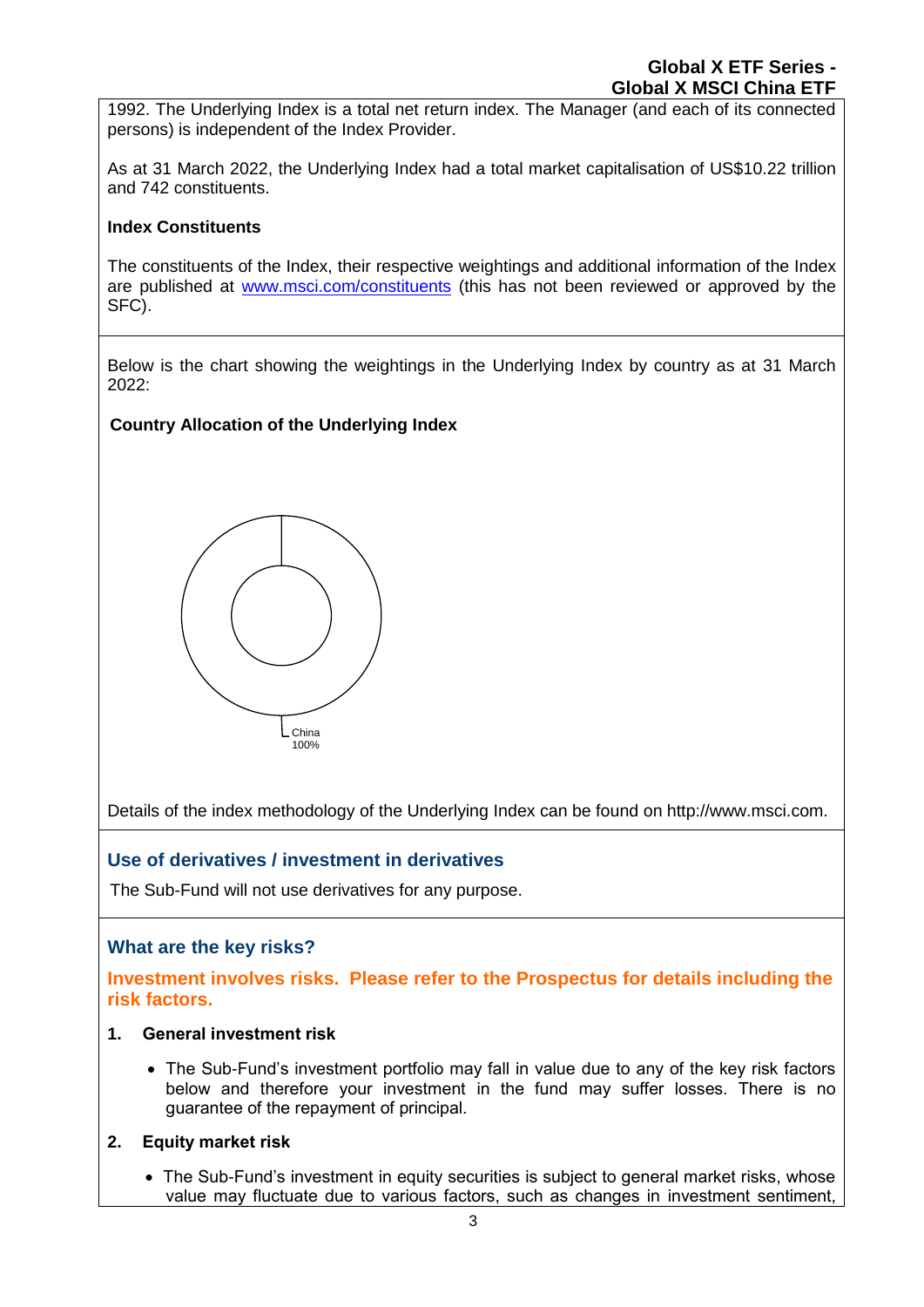1992. The Underlying Index is a total net return index. The Manager (and each of its connected persons) is independent of the Index Provider.

As at 31 March 2022, the Underlying Index had a total market capitalisation of US\$10.22 trillion and 742 constituents.

# **Index Constituents**

The constituents of the Index, their respective weightings and additional information of the Index are published at [www.msci.com/constituents](http://www.msci.com/constituents) (this has not been reviewed or approved by the SFC).

Below is the chart showing the weightings in the Underlying Index by country as at 31 March 2022:

# **Country Allocation of the Underlying Index**



Details of the index methodology of the Underlying Index can be found on http://www.msci.com.

# **Use of derivatives / investment in derivatives**

The Sub-Fund will not use derivatives for any purpose.

# **What are the key risks?**

# **Investment involves risks. Please refer to the Prospectus for details including the risk factors.**

# **1. General investment risk**

• The Sub-Fund's investment portfolio may fall in value due to any of the key risk factors below and therefore your investment in the fund may suffer losses. There is no guarantee of the repayment of principal.

#### **2. Equity market risk**

• The Sub-Fund's investment in equity securities is subject to general market risks, whose value may fluctuate due to various factors, such as changes in investment sentiment,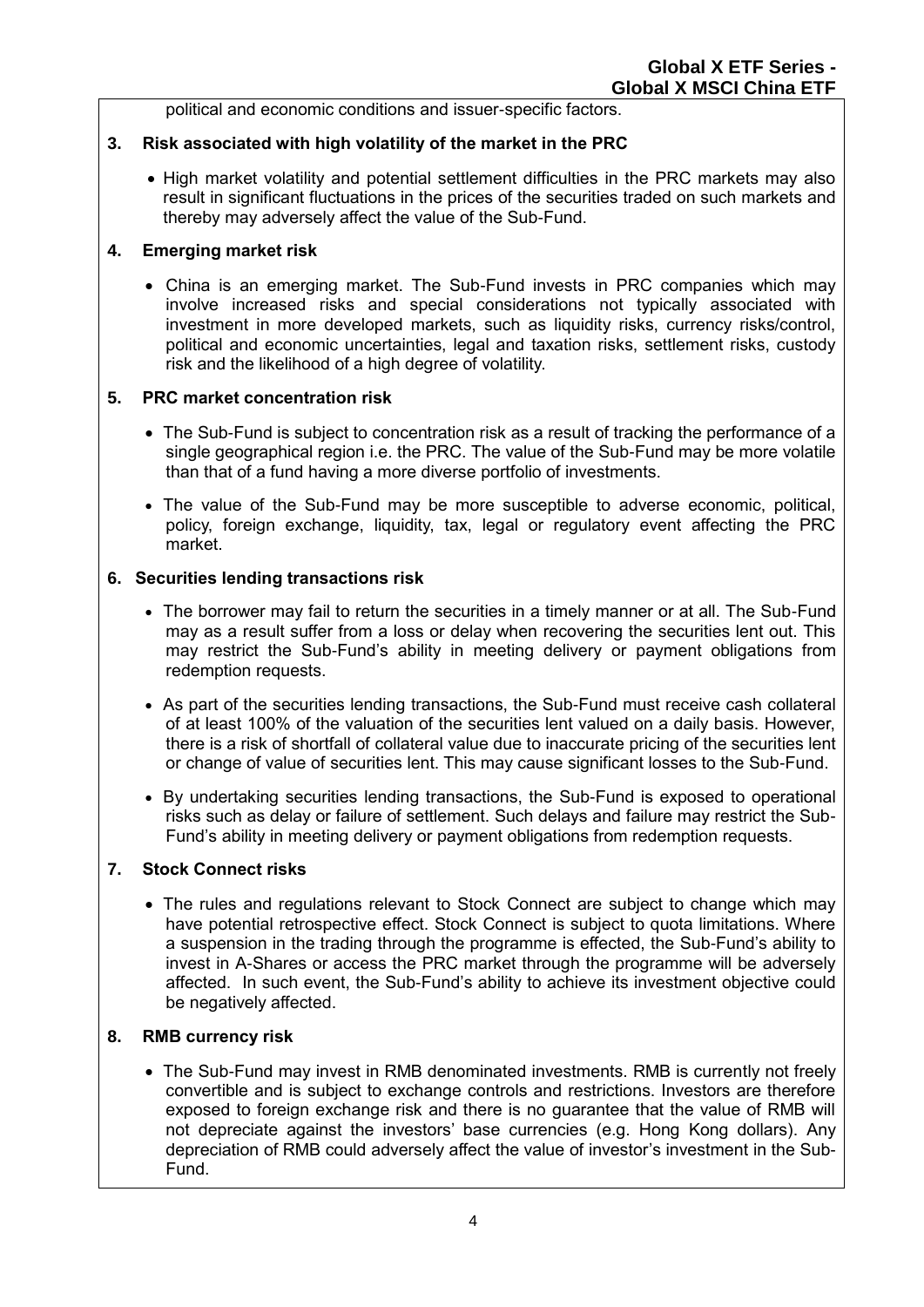political and economic conditions and issuer-specific factors.

#### **3. Risk associated with high volatility of the market in the PRC**

• High market volatility and potential settlement difficulties in the PRC markets may also result in significant fluctuations in the prices of the securities traded on such markets and thereby may adversely affect the value of the Sub-Fund.

#### **4. Emerging market risk**

• China is an emerging market. The Sub-Fund invests in PRC companies which may involve increased risks and special considerations not typically associated with investment in more developed markets, such as liquidity risks, currency risks/control, political and economic uncertainties, legal and taxation risks, settlement risks, custody risk and the likelihood of a high degree of volatility.

#### **5. PRC market concentration risk**

- The Sub-Fund is subject to concentration risk as a result of tracking the performance of a single geographical region i.e. the PRC. The value of the Sub-Fund may be more volatile than that of a fund having a more diverse portfolio of investments.
- The value of the Sub-Fund may be more susceptible to adverse economic, political, policy, foreign exchange, liquidity, tax, legal or regulatory event affecting the PRC market.

#### **6. Securities lending transactions risk**

- The borrower may fail to return the securities in a timely manner or at all. The Sub-Fund may as a result suffer from a loss or delay when recovering the securities lent out. This may restrict the Sub-Fund's ability in meeting delivery or payment obligations from redemption requests.
- As part of the securities lending transactions, the Sub-Fund must receive cash collateral of at least 100% of the valuation of the securities lent valued on a daily basis. However, there is a risk of shortfall of collateral value due to inaccurate pricing of the securities lent or change of value of securities lent. This may cause significant losses to the Sub-Fund.
- By undertaking securities lending transactions, the Sub-Fund is exposed to operational risks such as delay or failure of settlement. Such delays and failure may restrict the Sub-Fund's ability in meeting delivery or payment obligations from redemption requests.

#### **7. Stock Connect risks**

• The rules and regulations relevant to Stock Connect are subject to change which may have potential retrospective effect. Stock Connect is subject to quota limitations. Where a suspension in the trading through the programme is effected, the Sub-Fund's ability to invest in A-Shares or access the PRC market through the programme will be adversely affected. In such event, the Sub-Fund's ability to achieve its investment objective could be negatively affected.

#### **8. RMB currency risk**

• The Sub-Fund may invest in RMB denominated investments. RMB is currently not freely convertible and is subject to exchange controls and restrictions. Investors are therefore exposed to foreign exchange risk and there is no guarantee that the value of RMB will not depreciate against the investors' base currencies (e.g. Hong Kong dollars). Any depreciation of RMB could adversely affect the value of investor's investment in the Sub-Fund.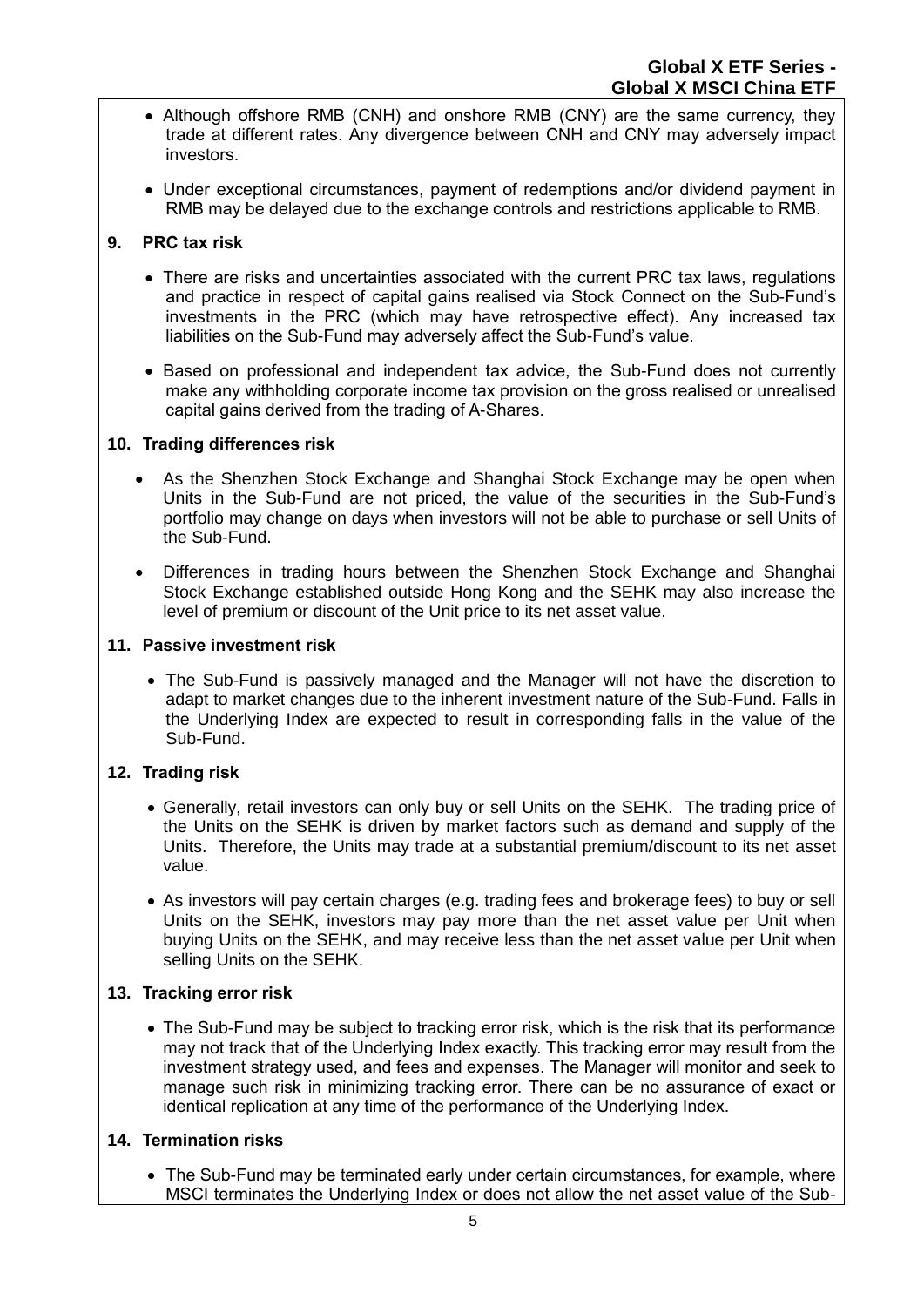- Although offshore RMB (CNH) and onshore RMB (CNY) are the same currency, they trade at different rates. Any divergence between CNH and CNY may adversely impact investors.
- Under exceptional circumstances, payment of redemptions and/or dividend payment in RMB may be delayed due to the exchange controls and restrictions applicable to RMB.

# **9. PRC tax risk**

- There are risks and uncertainties associated with the current PRC tax laws, regulations and practice in respect of capital gains realised via Stock Connect on the Sub-Fund's investments in the PRC (which may have retrospective effect). Any increased tax liabilities on the Sub-Fund may adversely affect the Sub-Fund's value.
- Based on professional and independent tax advice, the Sub-Fund does not currently make any withholding corporate income tax provision on the gross realised or unrealised capital gains derived from the trading of A-Shares.

# **10. Trading differences risk**

- As the Shenzhen Stock Exchange and Shanghai Stock Exchange may be open when Units in the Sub-Fund are not priced, the value of the securities in the Sub-Fund's portfolio may change on days when investors will not be able to purchase or sell Units of the Sub-Fund.
- Differences in trading hours between the Shenzhen Stock Exchange and Shanghai Stock Exchange established outside Hong Kong and the SEHK may also increase the level of premium or discount of the Unit price to its net asset value.

#### **11. Passive investment risk**

• The Sub-Fund is passively managed and the Manager will not have the discretion to adapt to market changes due to the inherent investment nature of the Sub-Fund. Falls in the Underlying Index are expected to result in corresponding falls in the value of the Sub-Fund.

# **12. Trading risk**

- Generally, retail investors can only buy or sell Units on the SEHK. The trading price of the Units on the SEHK is driven by market factors such as demand and supply of the Units. Therefore, the Units may trade at a substantial premium/discount to its net asset value.
- As investors will pay certain charges (e.g. trading fees and brokerage fees) to buy or sell Units on the SEHK, investors may pay more than the net asset value per Unit when buying Units on the SEHK, and may receive less than the net asset value per Unit when selling Units on the SEHK.

#### **13. Tracking error risk**

• The Sub-Fund may be subject to tracking error risk, which is the risk that its performance may not track that of the Underlying Index exactly. This tracking error may result from the investment strategy used, and fees and expenses. The Manager will monitor and seek to manage such risk in minimizing tracking error. There can be no assurance of exact or identical replication at any time of the performance of the Underlying Index.

# **14. Termination risks**

• The Sub-Fund may be terminated early under certain circumstances, for example, where MSCI terminates the Underlying Index or does not allow the net asset value of the Sub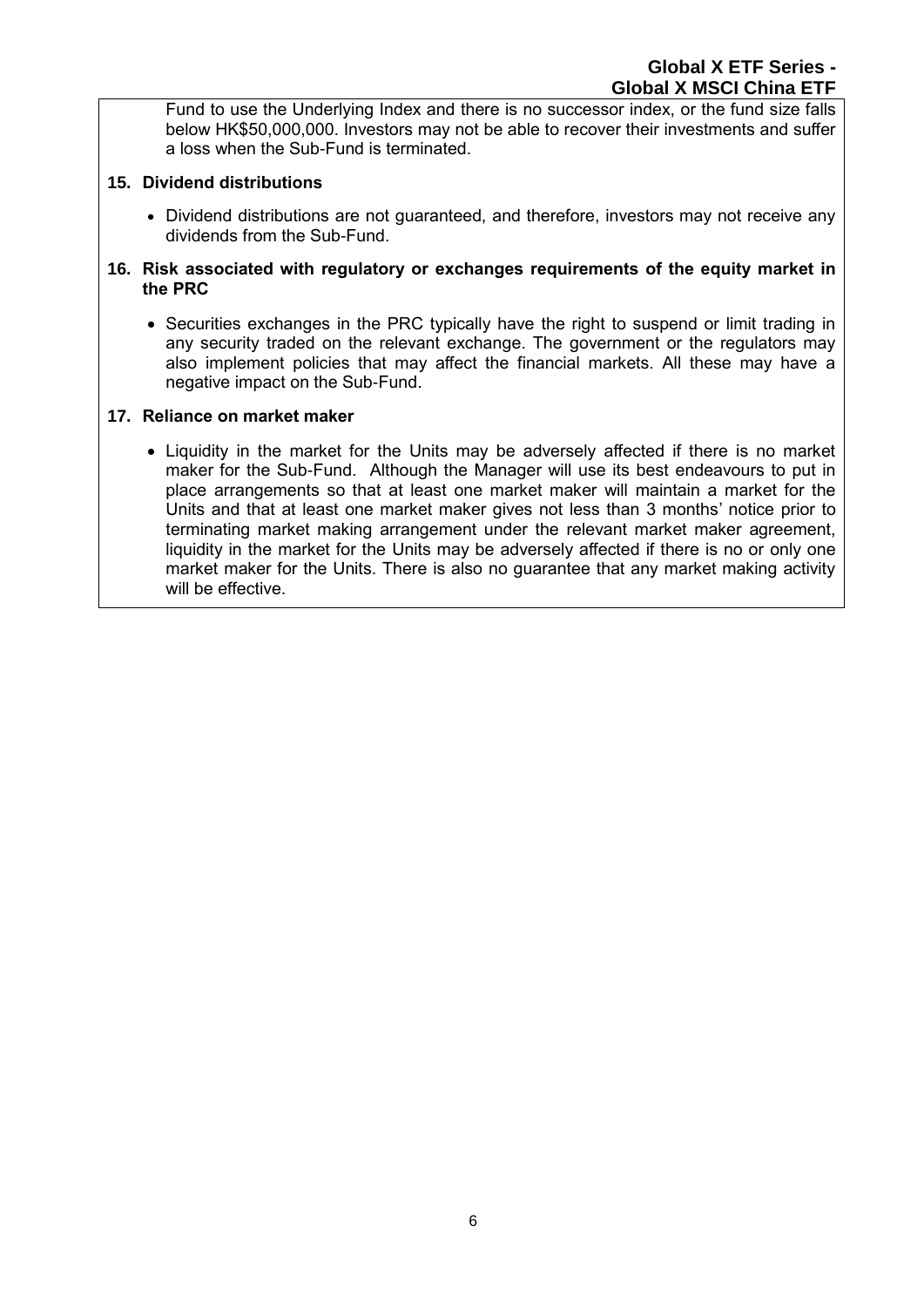Fund to use the Underlying Index and there is no successor index, or the fund size falls below HK\$50,000,000. Investors may not be able to recover their investments and suffer a loss when the Sub-Fund is terminated.

#### **15. Dividend distributions**

- Dividend distributions are not guaranteed, and therefore, investors may not receive any dividends from the Sub-Fund.
- **16. Risk associated with regulatory or exchanges requirements of the equity market in the PRC**
	- Securities exchanges in the PRC typically have the right to suspend or limit trading in any security traded on the relevant exchange. The government or the regulators may also implement policies that may affect the financial markets. All these may have a negative impact on the Sub-Fund.

#### **17. Reliance on market maker**

• Liquidity in the market for the Units may be adversely affected if there is no market maker for the Sub-Fund. Although the Manager will use its best endeavours to put in place arrangements so that at least one market maker will maintain a market for the Units and that at least one market maker gives not less than 3 months' notice prior to terminating market making arrangement under the relevant market maker agreement, liquidity in the market for the Units may be adversely affected if there is no or only one market maker for the Units. There is also no guarantee that any market making activity will be effective.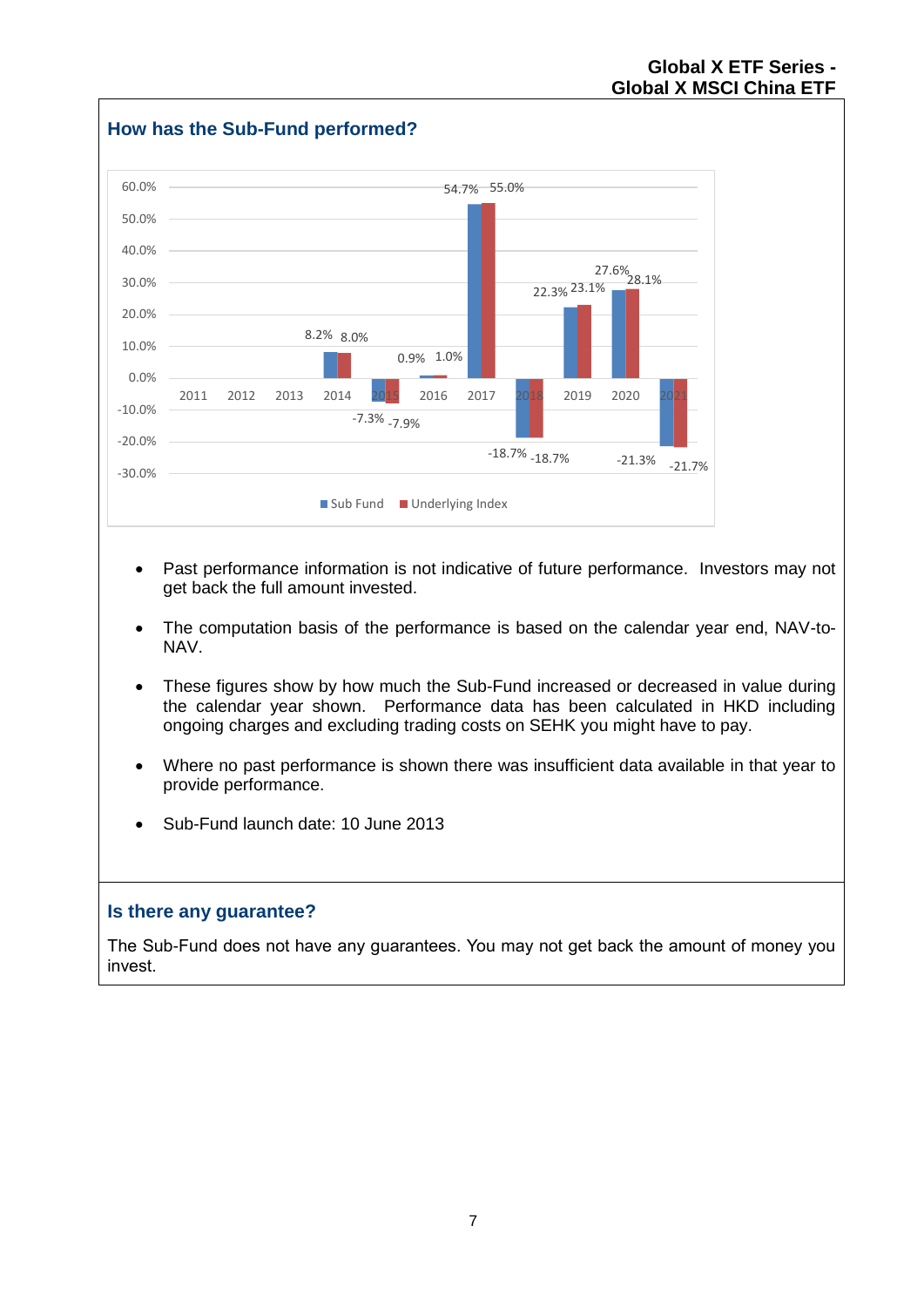# **Global X ETF Series - Global X MSCI China ETF**



- Past performance information is not indicative of future performance. Investors may not get back the full amount invested.
- The computation basis of the performance is based on the calendar year end, NAV-to-NAV.
- These figures show by how much the Sub-Fund increased or decreased in value during the calendar year shown. Performance data has been calculated in HKD including ongoing charges and excluding trading costs on SEHK you might have to pay.
- Where no past performance is shown there was insufficient data available in that year to provide performance.
- Sub-Fund launch date: 10 June 2013

#### **Is there any guarantee?**

The Sub-Fund does not have any guarantees. You may not get back the amount of money you invest.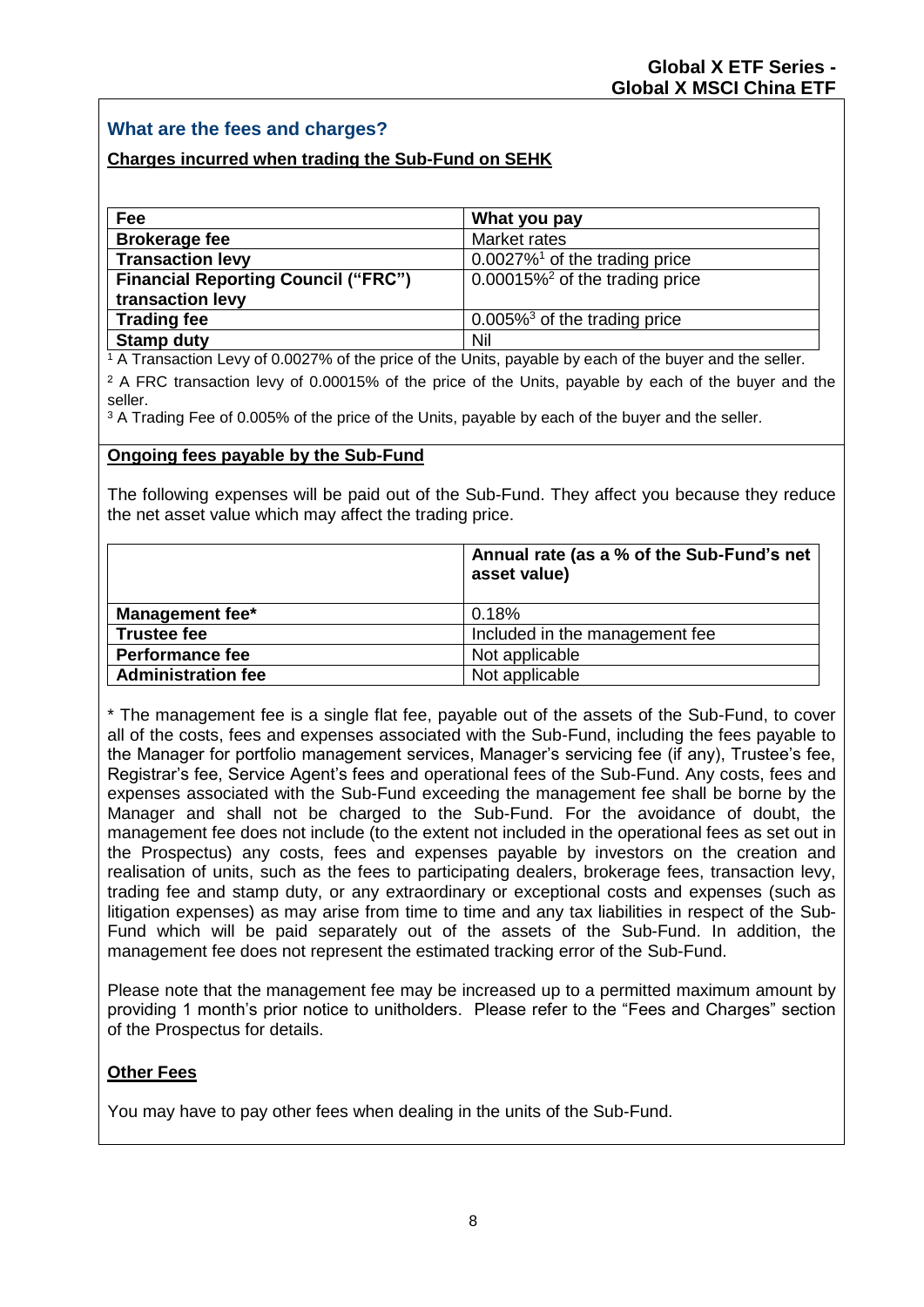# **What are the fees and charges?**

# **Charges incurred when trading the Sub-Fund on SEHK**

| Fee                                        | What you pay                                 |
|--------------------------------------------|----------------------------------------------|
| <b>Brokerage fee</b>                       | Market rates                                 |
| <b>Transaction levy</b>                    | $0.0027\%$ <sup>1</sup> of the trading price |
| <b>Financial Reporting Council ("FRC")</b> | $0.00015\%^2$ of the trading price           |
| transaction levy                           |                                              |
| <b>Trading fee</b>                         | $0.005\%$ <sup>3</sup> of the trading price  |
| <b>Stamp duty</b>                          | Nil                                          |

<sup>1</sup> A Transaction Levy of 0.0027% of the price of the Units, payable by each of the buyer and the seller.

<sup>2</sup> A FRC transaction levy of 0.00015% of the price of the Units, payable by each of the buyer and the seller.

<sup>3</sup> A Trading Fee of 0.005% of the price of the Units, payable by each of the buyer and the seller.

#### **Ongoing fees payable by the Sub-Fund**

The following expenses will be paid out of the Sub-Fund. They affect you because they reduce the net asset value which may affect the trading price.

|                           | Annual rate (as a % of the Sub-Fund's net<br>asset value) |
|---------------------------|-----------------------------------------------------------|
| <b>Management fee*</b>    | 0.18%                                                     |
| <b>Trustee fee</b>        | Included in the management fee                            |
| <b>Performance fee</b>    | Not applicable                                            |
| <b>Administration fee</b> | Not applicable                                            |

\* The management fee is a single flat fee, payable out of the assets of the Sub-Fund, to cover all of the costs, fees and expenses associated with the Sub-Fund, including the fees payable to the Manager for portfolio management services, Manager's servicing fee (if any), Trustee's fee, Registrar's fee, Service Agent's fees and operational fees of the Sub-Fund. Any costs, fees and expenses associated with the Sub-Fund exceeding the management fee shall be borne by the Manager and shall not be charged to the Sub-Fund. For the avoidance of doubt, the management fee does not include (to the extent not included in the operational fees as set out in the Prospectus) any costs, fees and expenses payable by investors on the creation and realisation of units, such as the fees to participating dealers, brokerage fees, transaction levy, trading fee and stamp duty, or any extraordinary or exceptional costs and expenses (such as litigation expenses) as may arise from time to time and any tax liabilities in respect of the Sub-Fund which will be paid separately out of the assets of the Sub-Fund. In addition, the management fee does not represent the estimated tracking error of the Sub-Fund.

Please note that the management fee may be increased up to a permitted maximum amount by providing 1 month's prior notice to unitholders. Please refer to the "Fees and Charges" section of the Prospectus for details.

#### **Other Fees**

You may have to pay other fees when dealing in the units of the Sub-Fund.